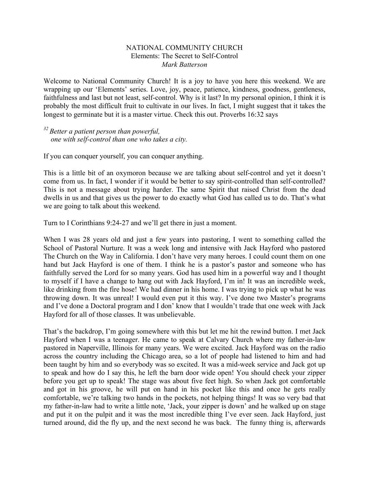## NATIONAL COMMUNITY CHURCH Elements: The Secret to Self-Control *Mark Batterson*

Welcome to National Community Church! It is a joy to have you here this weekend. We are wrapping up our 'Elements' series. Love, joy, peace, patience, kindness, goodness, gentleness, faithfulness and last but not least, self-control. Why is it last? In my personal opinion, I think it is probably the most difficult fruit to cultivate in our lives. In fact, I might suggest that it takes the longest to germinate but it is a master virtue. Check this out. Proverbs 16:32 says

*<sup>32</sup> Better a patient person than powerful, one with self-control than one who takes a city.*

If you can conquer yourself, you can conquer anything.

This is a little bit of an oxymoron because we are talking about self-control and yet it doesn't come from us. In fact, I wonder if it would be better to say spirit-controlled than self-controlled? This is not a message about trying harder. The same Spirit that raised Christ from the dead dwells in us and that gives us the power to do exactly what God has called us to do. That's what we are going to talk about this weekend.

Turn to I Corinthians 9:24-27 and we'll get there in just a moment.

When I was 28 years old and just a few years into pastoring, I went to something called the School of Pastoral Nurture. It was a week long and intensive with Jack Hayford who pastored The Church on the Way in California. I don't have very many heroes. I could count them on one hand but Jack Hayford is one of them. I think he is a pastor's pastor and someone who has faithfully served the Lord for so many years. God has used him in a powerful way and I thought to myself if I have a change to hang out with Jack Hayford, I'm in! It was an incredible week, like drinking from the fire hose! We had dinner in his home. I was trying to pick up what he was throwing down. It was unreal! I would even put it this way. I've done two Master's programs and I've done a Doctoral program and I don' know that I wouldn't trade that one week with Jack Hayford for all of those classes. It was unbelievable.

That's the backdrop, I'm going somewhere with this but let me hit the rewind button. I met Jack Hayford when I was a teenager. He came to speak at Calvary Church where my father-in-law pastored in Naperville, Illinois for many years. We were excited. Jack Hayford was on the radio across the country including the Chicago area, so a lot of people had listened to him and had been taught by him and so everybody was so excited. It was a mid-week service and Jack got up to speak and how do I say this, he left the barn door wide open! You should check your zipper before you get up to speak! The stage was about five feet high. So when Jack got comfortable and got in his groove, he will put on hand in his pocket like this and once he gets really comfortable, we're talking two hands in the pockets, not helping things! It was so very bad that my father-in-law had to write a little note, 'Jack, your zipper is down' and he walked up on stage and put it on the pulpit and it was the most incredible thing I've ever seen. Jack Hayford, just turned around, did the fly up, and the next second he was back. The funny thing is, afterwards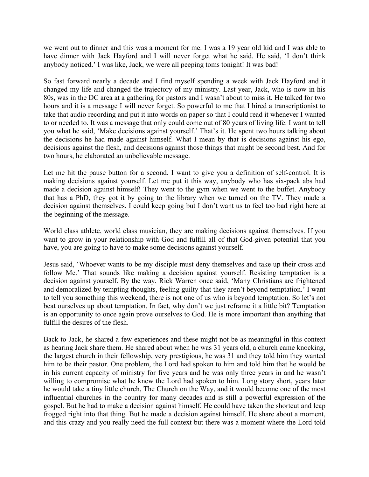we went out to dinner and this was a moment for me. I was a 19 year old kid and I was able to have dinner with Jack Hayford and I will never forget what he said. He said, 'I don't think anybody noticed.' I was like, Jack, we were all peeping toms tonight! It was bad!

So fast forward nearly a decade and I find myself spending a week with Jack Hayford and it changed my life and changed the trajectory of my ministry. Last year, Jack, who is now in his 80s, was in the DC area at a gathering for pastors and I wasn't about to miss it. He talked for two hours and it is a message I will never forget. So powerful to me that I hired a transcriptionist to take that audio recording and put it into words on paper so that I could read it whenever I wanted to or needed to. It was a message that only could come out of 80 years of living life. I want to tell you what he said, 'Make decisions against yourself.' That's it. He spent two hours talking about the decisions he had made against himself. What I mean by that is decisions against his ego, decisions against the flesh, and decisions against those things that might be second best. And for two hours, he elaborated an unbelievable message.

Let me hit the pause button for a second. I want to give you a definition of self-control. It is making decisions against yourself. Let me put it this way, anybody who has six-pack abs had made a decision against himself! They went to the gym when we went to the buffet. Anybody that has a PhD, they got it by going to the library when we turned on the TV. They made a decision against themselves. I could keep going but I don't want us to feel too bad right here at the beginning of the message.

World class athlete, world class musician, they are making decisions against themselves. If you want to grow in your relationship with God and fulfill all of that God-given potential that you have, you are going to have to make some decisions against yourself.

Jesus said, 'Whoever wants to be my disciple must deny themselves and take up their cross and follow Me.' That sounds like making a decision against yourself. Resisting temptation is a decision against yourself. By the way, Rick Warren once said, 'Many Christians are frightened and demoralized by tempting thoughts, feeling guilty that they aren't beyond temptation.' I want to tell you something this weekend, there is not one of us who is beyond temptation. So let's not beat ourselves up about temptation. In fact, why don't we just reframe it a little bit? Temptation is an opportunity to once again prove ourselves to God. He is more important than anything that fulfill the desires of the flesh.

Back to Jack, he shared a few experiences and these might not be as meaningful in this context as hearing Jack share them. He shared about when he was 31 years old, a church came knocking, the largest church in their fellowship, very prestigious, he was 31 and they told him they wanted him to be their pastor. One problem, the Lord had spoken to him and told him that he would be in his current capacity of ministry for five years and he was only three years in and he wasn't willing to compromise what he knew the Lord had spoken to him. Long story short, years later he would take a tiny little church, The Church on the Way, and it would become one of the most influential churches in the country for many decades and is still a powerful expression of the gospel. But he had to make a decision against himself. He could have taken the shortcut and leap frogged right into that thing. But he made a decision against himself. He share about a moment, and this crazy and you really need the full context but there was a moment where the Lord told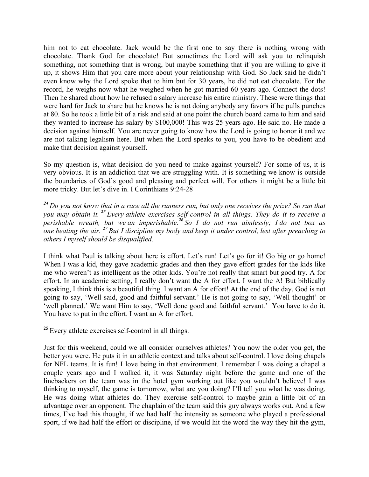him not to eat chocolate. Jack would be the first one to say there is nothing wrong with chocolate. Thank God for chocolate! But sometimes the Lord will ask you to relinquish something, not something that is wrong, but maybe something that if you are willing to give it up, it shows Him that you care more about your relationship with God. So Jack said he didn't even know why the Lord spoke that to him but for 30 years, he did not eat chocolate. For the record, he weighs now what he weighed when he got married 60 years ago. Connect the dots! Then he shared about how he refused a salary increase his entire ministry. These were things that were hard for Jack to share but he knows he is not doing anybody any favors if he pulls punches at 80. So he took a little bit of a risk and said at one point the church board came to him and said they wanted to increase his salary by \$100,000! This was 25 years ago. He said no. He made a decision against himself. You are never going to know how the Lord is going to honor it and we are not talking legalism here. But when the Lord speaks to you, you have to be obedient and make that decision against yourself.

So my question is, what decision do you need to make against yourself? For some of us, it is very obvious. It is an addiction that we are struggling with. It is something we know is outside the boundaries of God's good and pleasing and perfect will. For others it might be a little bit more tricky. But let's dive in. I Corinthians 9:24-28

*<sup>24</sup> Do you not know that in a race all the runners run, but only one receives the prize? So run that you may obtain it. <sup>25</sup> Every athlete exercises self-control in all things. They do it to receive a perishable wreath, but we an imperishable.<sup>26</sup> So I do not run aimlessly; I do not box as one beating the air. <sup>27</sup> But I discipline my body and keep it under control, lest after preaching to others I myself should be disqualified.*

I think what Paul is talking about here is effort. Let's run! Let's go for it! Go big or go home! When I was a kid, they gave academic grades and then they gave effort grades for the kids like me who weren't as intelligent as the other kids. You're not really that smart but good try. A for effort. In an academic setting, I really don't want the A for effort. I want the A! But biblically speaking, I think this is a beautiful thing. I want an A for effort! At the end of the day, God is not going to say, 'Well said, good and faithful servant.' He is not going to say, 'Well thought' or 'well planned.' We want Him to say, 'Well done good and faithful servant.' You have to do it. You have to put in the effort. I want an A for effort.

**<sup>25</sup>** Every athlete exercises self-control in all things.

Just for this weekend, could we all consider ourselves athletes? You now the older you get, the better you were. He puts it in an athletic context and talks about self-control. I love doing chapels for NFL teams. It is fun! I love being in that environment. I remember I was doing a chapel a couple years ago and I walked it, it was Saturday night before the game and one of the linebackers on the team was in the hotel gym working out like you wouldn't believe! I was thinking to myself, the game is tomorrow, what are you doing? I'll tell you what he was doing. He was doing what athletes do. They exercise self-control to maybe gain a little bit of an advantage over an opponent. The chaplain of the team said this guy always works out. And a few times, I've had this thought, if we had half the intensity as someone who played a professional sport, if we had half the effort or discipline, if we would hit the word the way they hit the gym,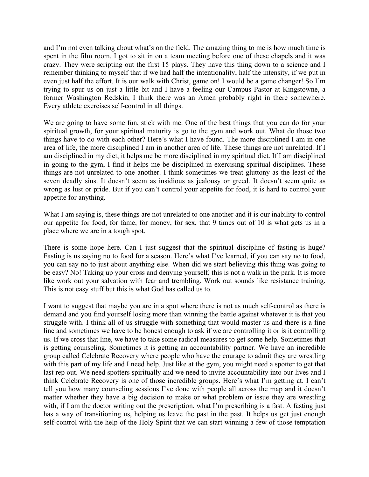and I'm not even talking about what's on the field. The amazing thing to me is how much time is spent in the film room. I got to sit in on a team meeting before one of these chapels and it was crazy. They were scripting out the first 15 plays. They have this thing down to a science and I remember thinking to myself that if we had half the intentionality, half the intensity, if we put in even just half the effort. It is our walk with Christ, game on! I would be a game changer! So I'm trying to spur us on just a little bit and I have a feeling our Campus Pastor at Kingstowne, a former Washington Redskin, I think there was an Amen probably right in there somewhere. Every athlete exercises self-control in all things.

We are going to have some fun, stick with me. One of the best things that you can do for your spiritual growth, for your spiritual maturity is go to the gym and work out. What do those two things have to do with each other? Here's what I have found. The more disciplined I am in one area of life, the more disciplined I am in another area of life. These things are not unrelated. If I am disciplined in my diet, it helps me be more disciplined in my spiritual diet. If I am disciplined in going to the gym, I find it helps me be disciplined in exercising spiritual disciplines. These things are not unrelated to one another. I think sometimes we treat gluttony as the least of the seven deadly sins. It doesn't seem as insidious as jealousy or greed. It doesn't seem quite as wrong as lust or pride. But if you can't control your appetite for food, it is hard to control your appetite for anything.

What I am saying is, these things are not unrelated to one another and it is our inability to control our appetite for food, for fame, for money, for sex, that 9 times out of 10 is what gets us in a place where we are in a tough spot.

There is some hope here. Can I just suggest that the spiritual discipline of fasting is huge? Fasting is us saying no to food for a season. Here's what I've learned, if you can say no to food, you can say no to just about anything else. When did we start believing this thing was going to be easy? No! Taking up your cross and denying yourself, this is not a walk in the park. It is more like work out your salvation with fear and trembling. Work out sounds like resistance training. This is not easy stuff but this is what God has called us to.

I want to suggest that maybe you are in a spot where there is not as much self-control as there is demand and you find yourself losing more than winning the battle against whatever it is that you struggle with. I think all of us struggle with something that would master us and there is a fine line and sometimes we have to be honest enough to ask if we are controlling it or is it controlling us. If we cross that line, we have to take some radical measures to get some help. Sometimes that is getting counseling. Sometimes it is getting an accountability partner. We have an incredible group called Celebrate Recovery where people who have the courage to admit they are wrestling with this part of my life and I need help. Just like at the gym, you might need a spotter to get that last rep out. We need spotters spiritually and we need to invite accountability into our lives and I think Celebrate Recovery is one of those incredible groups. Here's what I'm getting at. I can't tell you how many counseling sessions I've done with people all across the map and it doesn't matter whether they have a big decision to make or what problem or issue they are wrestling with, if I am the doctor writing out the prescription, what I'm prescribing is a fast. A fasting just has a way of transitioning us, helping us leave the past in the past. It helps us get just enough self-control with the help of the Holy Spirit that we can start winning a few of those temptation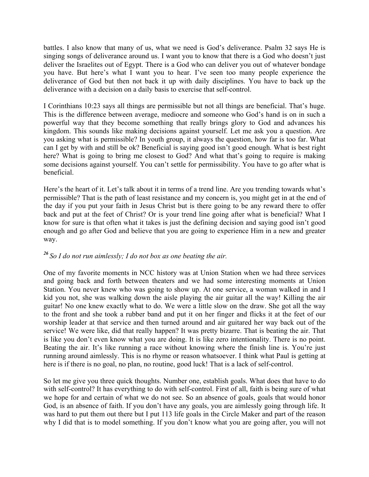battles. I also know that many of us, what we need is God's deliverance. Psalm 32 says He is singing songs of deliverance around us. I want you to know that there is a God who doesn't just deliver the Israelites out of Egypt. There is a God who can deliver you out of whatever bondage you have. But here's what I want you to hear. I've seen too many people experience the deliverance of God but then not back it up with daily disciplines. You have to back up the deliverance with a decision on a daily basis to exercise that self-control.

I Corinthians 10:23 says all things are permissible but not all things are beneficial. That's huge. This is the difference between average, mediocre and someone who God's hand is on in such a powerful way that they become something that really brings glory to God and advances his kingdom. This sounds like making decisions against yourself. Let me ask you a question. Are you asking what is permissible? In youth group, it always the question, how far is too far. What can I get by with and still be ok? Beneficial is saying good isn't good enough. What is best right here? What is going to bring me closest to God? And what that's going to require is making some decisions against yourself. You can't settle for permissibility. You have to go after what is beneficial.

Here's the heart of it. Let's talk about it in terms of a trend line. Are you trending towards what's permissible? That is the path of least resistance and my concern is, you might get in at the end of the day if you put your faith in Jesus Christ but is there going to be any reward there to offer back and put at the feet of Christ? Or is your trend line going after what is beneficial? What I know for sure is that often what it takes is just the defining decision and saying good isn't good enough and go after God and believe that you are going to experience Him in a new and greater way.

## *<sup>26</sup> So I do not run aimlessly; I do not box as one beating the air.*

One of my favorite moments in NCC history was at Union Station when we had three services and going back and forth between theaters and we had some interesting moments at Union Station. You never knew who was going to show up. At one service, a woman walked in and I kid you not, she was walking down the aisle playing the air guitar all the way! Killing the air guitar! No one knew exactly what to do. We were a little slow on the draw. She got all the way to the front and she took a rubber band and put it on her finger and flicks it at the feet of our worship leader at that service and then turned around and air guitared her way back out of the service! We were like, did that really happen? It was pretty bizarre. That is beating the air. That is like you don't even know what you are doing. It is like zero intentionality. There is no point. Beating the air. It's like running a race without knowing where the finish line is. You're just running around aimlessly. This is no rhyme or reason whatsoever. I think what Paul is getting at here is if there is no goal, no plan, no routine, good luck! That is a lack of self-control.

So let me give you three quick thoughts. Number one, establish goals. What does that have to do with self-control? It has everything to do with self-control. First of all, faith is being sure of what we hope for and certain of what we do not see. So an absence of goals, goals that would honor God, is an absence of faith. If you don't have any goals, you are aimlessly going through life. It was hard to put them out there but I put 113 life goals in the Circle Maker and part of the reason why I did that is to model something. If you don't know what you are going after, you will not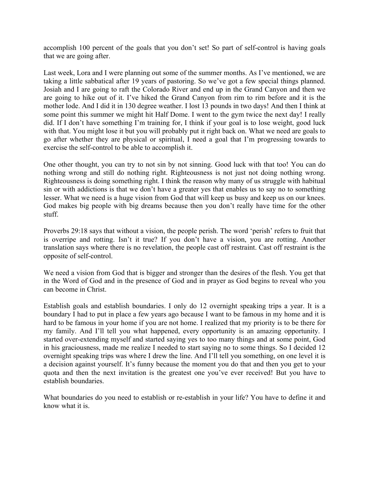accomplish 100 percent of the goals that you don't set! So part of self-control is having goals that we are going after.

Last week, Lora and I were planning out some of the summer months. As I've mentioned, we are taking a little sabbatical after 19 years of pastoring. So we've got a few special things planned. Josiah and I are going to raft the Colorado River and end up in the Grand Canyon and then we are going to hike out of it. I've hiked the Grand Canyon from rim to rim before and it is the mother lode. And I did it in 130 degree weather. I lost 13 pounds in two days! And then I think at some point this summer we might hit Half Dome. I went to the gym twice the next day! I really did. If I don't have something I'm training for, I think if your goal is to lose weight, good luck with that. You might lose it but you will probably put it right back on. What we need are goals to go after whether they are physical or spiritual, I need a goal that I'm progressing towards to exercise the self-control to be able to accomplish it.

One other thought, you can try to not sin by not sinning. Good luck with that too! You can do nothing wrong and still do nothing right. Righteousness is not just not doing nothing wrong. Righteousness is doing something right. I think the reason why many of us struggle with habitual sin or with addictions is that we don't have a greater yes that enables us to say no to something lesser. What we need is a huge vision from God that will keep us busy and keep us on our knees. God makes big people with big dreams because then you don't really have time for the other stuff.

Proverbs 29:18 says that without a vision, the people perish. The word 'perish' refers to fruit that is overripe and rotting. Isn't it true? If you don't have a vision, you are rotting. Another translation says where there is no revelation, the people cast off restraint. Cast off restraint is the opposite of self-control.

We need a vision from God that is bigger and stronger than the desires of the flesh. You get that in the Word of God and in the presence of God and in prayer as God begins to reveal who you can become in Christ.

Establish goals and establish boundaries. I only do 12 overnight speaking trips a year. It is a boundary I had to put in place a few years ago because I want to be famous in my home and it is hard to be famous in your home if you are not home. I realized that my priority is to be there for my family. And I'll tell you what happened, every opportunity is an amazing opportunity. I started over-extending myself and started saying yes to too many things and at some point, God in his graciousness, made me realize I needed to start saying no to some things. So I decided 12 overnight speaking trips was where I drew the line. And I'll tell you something, on one level it is a decision against yourself. It's funny because the moment you do that and then you get to your quota and then the next invitation is the greatest one you've ever received! But you have to establish boundaries.

What boundaries do you need to establish or re-establish in your life? You have to define it and know what it is.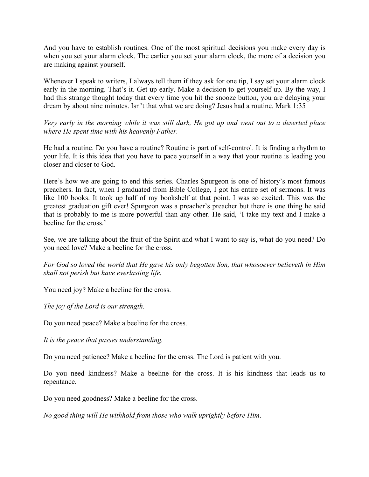And you have to establish routines. One of the most spiritual decisions you make every day is when you set your alarm clock. The earlier you set your alarm clock, the more of a decision you are making against yourself.

Whenever I speak to writers, I always tell them if they ask for one tip, I say set your alarm clock early in the morning. That's it. Get up early. Make a decision to get yourself up. By the way, I had this strange thought today that every time you hit the snooze button, you are delaying your dream by about nine minutes. Isn't that what we are doing? Jesus had a routine. Mark 1:35

*Very early in the morning while it was still dark, He got up and went out to a deserted place where He spent time with his heavenly Father.*

He had a routine. Do you have a routine? Routine is part of self-control. It is finding a rhythm to your life. It is this idea that you have to pace yourself in a way that your routine is leading you closer and closer to God.

Here's how we are going to end this series. Charles Spurgeon is one of history's most famous preachers. In fact, when I graduated from Bible College, I got his entire set of sermons. It was like 100 books. It took up half of my bookshelf at that point. I was so excited. This was the greatest graduation gift ever! Spurgeon was a preacher's preacher but there is one thing he said that is probably to me is more powerful than any other. He said, 'I take my text and I make a beeline for the cross.'

See, we are talking about the fruit of the Spirit and what I want to say is, what do you need? Do you need love? Make a beeline for the cross.

*For God so loved the world that He gave his only begotten Son, that whosoever believeth in Him shall not perish but have everlasting life.*

You need joy? Make a beeline for the cross.

*The joy of the Lord is our strength.*

Do you need peace? Make a beeline for the cross.

*It is the peace that passes understanding.*

Do you need patience? Make a beeline for the cross. The Lord is patient with you.

Do you need kindness? Make a beeline for the cross. It is his kindness that leads us to repentance.

Do you need goodness? Make a beeline for the cross.

*No good thing will He withhold from those who walk uprightly before Him*.